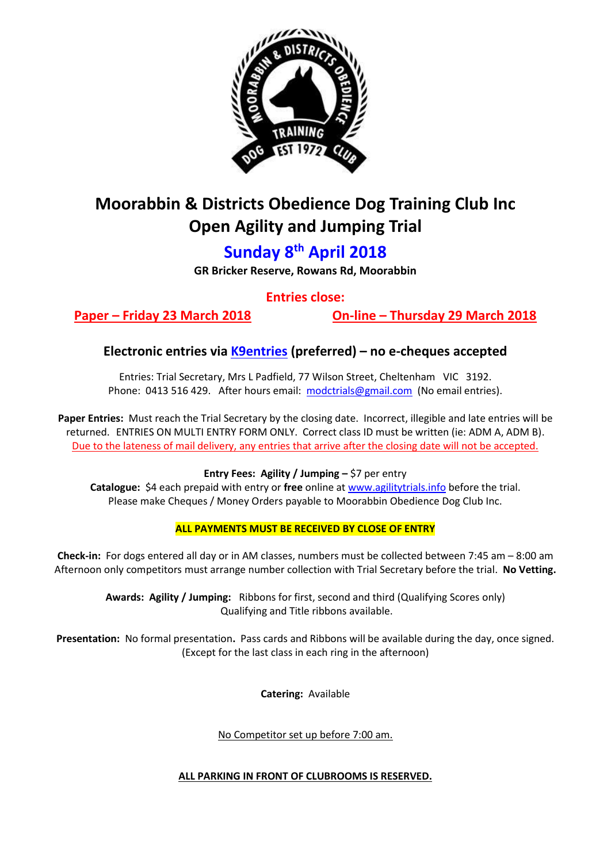

# **Moorabbin & Districts Obedience Dog Training Club Inc Open Agility and Jumping Trial**

## **Sunday 8 th April 2018**

**GR Bricker Reserve, Rowans Rd, Moorabbin**

**Entries close:**

**Paper – Friday 23 March 2018 On-line – Thursday 29 March 2018**

### **Electronic entries via [K9entries](https://www.k9entries.com/) (preferred) – no e-cheques accepted**

Entries: Trial Secretary, Mrs L Padfield, 77 Wilson Street, Cheltenham VIC 3192. Phone: 0413 516 429. After hours email: [modctrials@gmail.com](mailto:modctrials@gmail.com) (No email entries).

**Paper Entries:** Must reach the Trial Secretary by the closing date. Incorrect, illegible and late entries will be returned. ENTRIES ON MULTI ENTRY FORM ONLY. Correct class ID must be written (ie: ADM A, ADM B). Due to the lateness of mail delivery, any entries that arrive after the closing date will not be accepted.

**Entry Fees: Agility / Jumping –** \$7 per entry

**Catalogue:** \$4 each prepaid with entry or **free** online at [www.agilitytrials.info](http://www.agilitytrials.info/) before the trial. Please make Cheques / Money Orders payable to Moorabbin Obedience Dog Club Inc.

### **ALL PAYMENTS MUST BE RECEIVED BY CLOSE OF ENTRY**

**Check-in:** For dogs entered all day or in AM classes, numbers must be collected between 7:45 am – 8:00 am Afternoon only competitors must arrange number collection with Trial Secretary before the trial. **No Vetting.**

**Awards: Agility / Jumping:** Ribbons for first, second and third (Qualifying Scores only) Qualifying and Title ribbons available.

**Presentation:** No formal presentation**.** Pass cards and Ribbons will be available during the day, once signed. (Except for the last class in each ring in the afternoon)

**Catering:** Available

No Competitor set up before 7:00 am.

### **ALL PARKING IN FRONT OF CLUBROOMS IS RESERVED.**